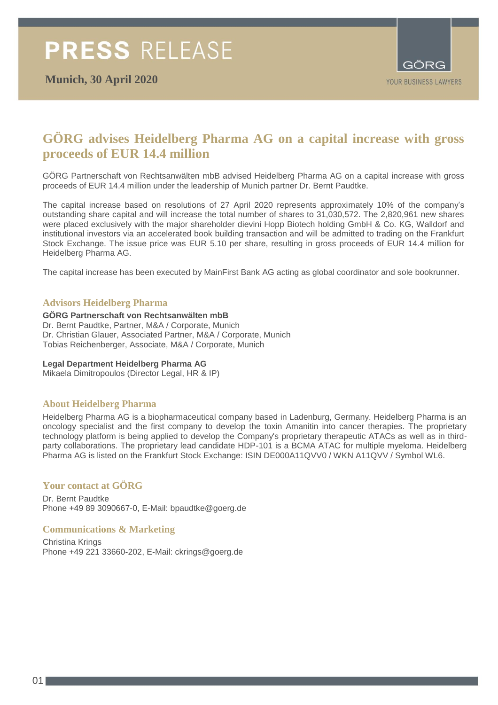

## **GÖRG advises Heidelberg Pharma AG on a capital increase with gross proceeds of EUR 14.4 million**

GÖRG Partnerschaft von Rechtsanwälten mbB advised Heidelberg Pharma AG on a capital increase with gross proceeds of EUR 14.4 million under the leadership of Munich partner Dr. Bernt Paudtke.

The capital increase based on resolutions of 27 April 2020 represents approximately 10% of the company's outstanding share capital and will increase the total number of shares to 31,030,572. The 2,820,961 new shares were placed exclusively with the major shareholder dievini Hopp Biotech holding GmbH & Co. KG, Walldorf and institutional investors via an accelerated book building transaction and will be admitted to trading on the Frankfurt Stock Exchange. The issue price was EUR 5.10 per share, resulting in gross proceeds of EUR 14.4 million for Heidelberg Pharma AG.

The capital increase has been executed by MainFirst Bank AG acting as global coordinator and sole bookrunner.

## **Advisors Heidelberg Pharma**

#### **GÖRG Partnerschaft von Rechtsanwälten mbB**

Dr. Bernt Paudtke, Partner, M&A / Corporate, Munich Dr. Christian Glauer, Associated Partner, M&A / Corporate, Munich Tobias Reichenberger, Associate, M&A / Corporate, Munich

#### **Legal Department Heidelberg Pharma AG**

Mikaela Dimitropoulos (Director Legal, HR & IP)

## **About Heidelberg Pharma**

Heidelberg Pharma AG is a biopharmaceutical company based in Ladenburg, Germany. Heidelberg Pharma is an oncology specialist and the first company to develop the toxin Amanitin into cancer therapies. The proprietary technology platform is being applied to develop the Company's proprietary therapeutic ATACs as well as in thirdparty collaborations. The proprietary lead candidate HDP-101 is a BCMA ATAC for multiple myeloma. Heidelberg Pharma AG is listed on the Frankfurt Stock Exchange: ISIN DE000A11QVV0 / WKN A11QVV / Symbol WL6.

## **Your contact at GÖRG**

Dr. Bernt Paudtke Phone +49 89 3090667-0, E-Mail: bpaudtke@goerg.de

## **Communications & Marketing**

Christina Krings Phone +49 221 33660-202, E-Mail: ckrings@goerg.de